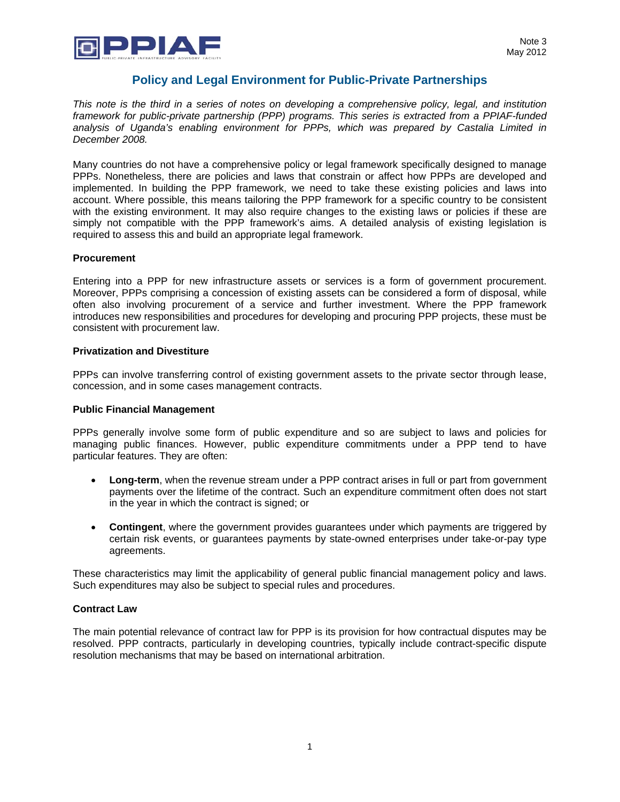

# **Policy and Legal Environment for Public-Private Partnerships**

*This note is the third in a series of notes on developing a comprehensive policy, legal, and institution framework for public-private partnership (PPP) programs. This series is extracted from a PPIAF-funded analysis of Uganda's enabling environment for PPPs, which was prepared by Castalia Limited in December 2008.* 

Many countries do not have a comprehensive policy or legal framework specifically designed to manage PPPs. Nonetheless, there are policies and laws that constrain or affect how PPPs are developed and implemented. In building the PPP framework, we need to take these existing policies and laws into account. Where possible, this means tailoring the PPP framework for a specific country to be consistent with the existing environment. It may also require changes to the existing laws or policies if these are simply not compatible with the PPP framework's aims. A detailed analysis of existing legislation is required to assess this and build an appropriate legal framework.

### **Procurement**

Entering into a PPP for new infrastructure assets or services is a form of government procurement. Moreover, PPPs comprising a concession of existing assets can be considered a form of disposal, while often also involving procurement of a service and further investment. Where the PPP framework introduces new responsibilities and procedures for developing and procuring PPP projects, these must be consistent with procurement law.

### **Privatization and Divestiture**

PPPs can involve transferring control of existing government assets to the private sector through lease, concession, and in some cases management contracts.

#### **Public Financial Management**

PPPs generally involve some form of public expenditure and so are subject to laws and policies for managing public finances. However, public expenditure commitments under a PPP tend to have particular features. They are often:

- **Long-term**, when the revenue stream under a PPP contract arises in full or part from government payments over the lifetime of the contract. Such an expenditure commitment often does not start in the year in which the contract is signed; or
- **Contingent**, where the government provides guarantees under which payments are triggered by certain risk events, or guarantees payments by state-owned enterprises under take-or-pay type agreements.

These characteristics may limit the applicability of general public financial management policy and laws. Such expenditures may also be subject to special rules and procedures.

### **Contract Law**

The main potential relevance of contract law for PPP is its provision for how contractual disputes may be resolved. PPP contracts, particularly in developing countries, typically include contract-specific dispute resolution mechanisms that may be based on international arbitration.